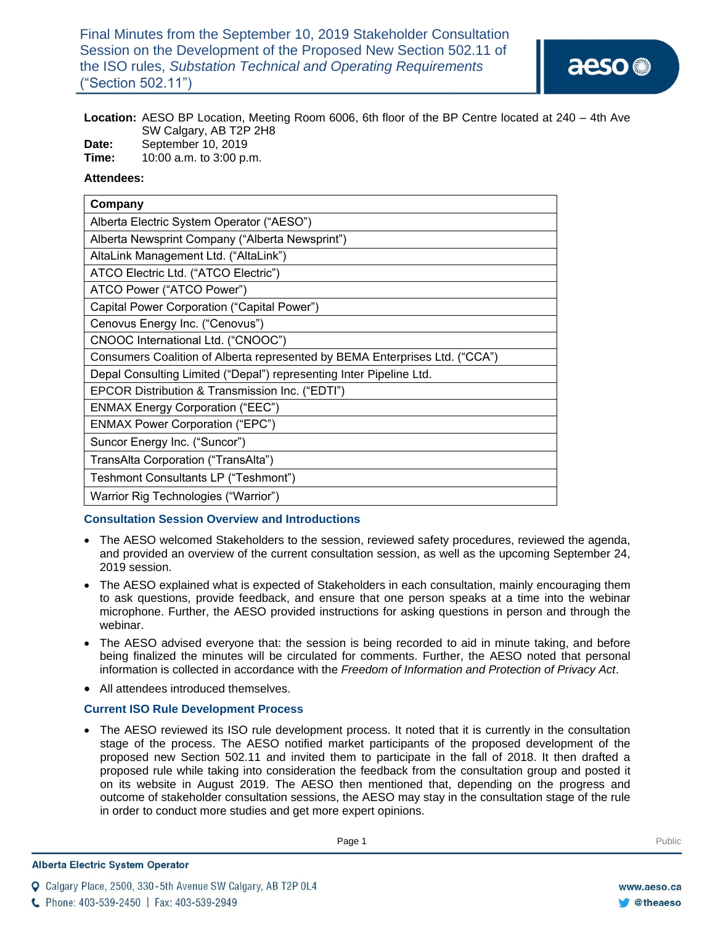Final Minutes from the September 10, 2019 Stakeholder Consultation Session on the Development of the Proposed New Section 502.11 of the ISO rules, *Substation Technical and Operating Requirements*  ("Section 502.11")

# **Location:** AESO BP Location, Meeting Room 6006, 6th floor of the BP Centre located at 240 – 4th Ave SW Calgary, AB T2P 2H8

**Date:** September 10, 2019

**Time:** 10:00 a.m. to 3:00 p.m.

## **Attendees:**

| Company                                                                     |
|-----------------------------------------------------------------------------|
| Alberta Electric System Operator ("AESO")                                   |
| Alberta Newsprint Company ("Alberta Newsprint")                             |
| AltaLink Management Ltd. ("AltaLink")                                       |
| ATCO Electric Ltd. ("ATCO Electric")                                        |
| ATCO Power ("ATCO Power")                                                   |
| Capital Power Corporation ("Capital Power")                                 |
| Cenovus Energy Inc. ("Cenovus")                                             |
| CNOOC International Ltd. ("CNOOC")                                          |
| Consumers Coalition of Alberta represented by BEMA Enterprises Ltd. ("CCA") |
| Depal Consulting Limited ("Depal") representing Inter Pipeline Ltd.         |
| EPCOR Distribution & Transmission Inc. ("EDTI")                             |
| <b>ENMAX Energy Corporation ("EEC")</b>                                     |
| <b>ENMAX Power Corporation ("EPC")</b>                                      |
| Suncor Energy Inc. ("Suncor")                                               |
| TransAlta Corporation ("TransAlta")                                         |
| Teshmont Consultants LP ("Teshmont")                                        |
| Warrior Rig Technologies ("Warrior")                                        |

#### **Consultation Session Overview and Introductions**

- The AESO welcomed Stakeholders to the session, reviewed safety procedures, reviewed the agenda, and provided an overview of the current consultation session, as well as the upcoming September 24, 2019 session.
- The AESO explained what is expected of Stakeholders in each consultation, mainly encouraging them to ask questions, provide feedback, and ensure that one person speaks at a time into the webinar microphone. Further, the AESO provided instructions for asking questions in person and through the webinar.
- The AESO advised everyone that: the session is being recorded to aid in minute taking, and before being finalized the minutes will be circulated for comments. Further, the AESO noted that personal information is collected in accordance with the *Freedom of Information and Protection of Privacy Act*.
- All attendees introduced themselves.

#### **Current ISO Rule Development Process**

• The AESO reviewed its ISO rule development process. It noted that it is currently in the consultation stage of the process. The AESO notified market participants of the proposed development of the proposed new Section 502.11 and invited them to participate in the fall of 2018. It then drafted a proposed rule while taking into consideration the feedback from the consultation group and posted it on its website in August 2019. The AESO then mentioned that, depending on the progress and outcome of stakeholder consultation sessions, the AESO may stay in the consultation stage of the rule in order to conduct more studies and get more expert opinions.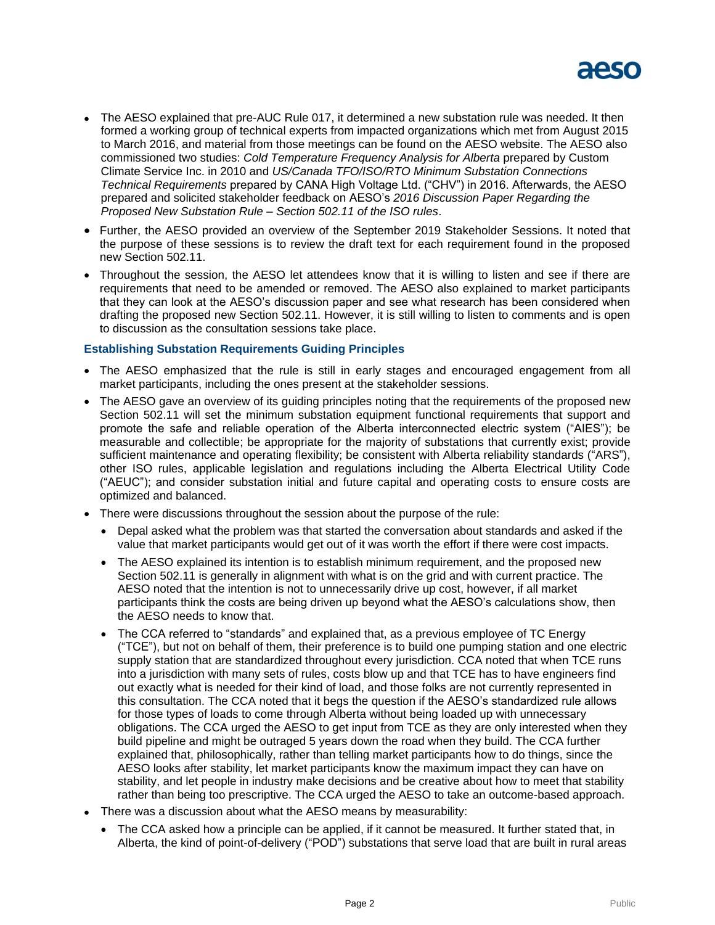

- The AESO explained that pre-AUC Rule 017, it determined a new substation rule was needed. It then formed a working group of technical experts from impacted organizations which met from August 2015 to March 2016, and material from those meetings can be found on the AESO website. The AESO also commissioned two studies: *Cold Temperature Frequency Analysis for Alberta* prepared by Custom Climate Service Inc. in 2010 and *US/Canada TFO/ISO/RTO Minimum Substation Connections Technical Requirements* prepared by CANA High Voltage Ltd. ("CHV") in 2016. Afterwards, the AESO prepared and solicited stakeholder feedback on AESO's *2016 Discussion Paper Regarding the Proposed New Substation Rule – Section 502.11 of the ISO rules*.
- Further, the AESO provided an overview of the September 2019 Stakeholder Sessions. It noted that the purpose of these sessions is to review the draft text for each requirement found in the proposed new Section 502.11.
- Throughout the session, the AESO let attendees know that it is willing to listen and see if there are requirements that need to be amended or removed. The AESO also explained to market participants that they can look at the AESO's discussion paper and see what research has been considered when drafting the proposed new Section 502.11. However, it is still willing to listen to comments and is open to discussion as the consultation sessions take place.

#### **Establishing Substation Requirements Guiding Principles**

- The AESO emphasized that the rule is still in early stages and encouraged engagement from all market participants, including the ones present at the stakeholder sessions.
- The AESO gave an overview of its guiding principles noting that the requirements of the proposed new Section 502.11 will set the minimum substation equipment functional requirements that support and promote the safe and reliable operation of the Alberta interconnected electric system ("AIES"); be measurable and collectible; be appropriate for the majority of substations that currently exist; provide sufficient maintenance and operating flexibility; be consistent with Alberta reliability standards ("ARS"), other ISO rules, applicable legislation and regulations including the Alberta Electrical Utility Code ("AEUC"); and consider substation initial and future capital and operating costs to ensure costs are optimized and balanced.
- There were discussions throughout the session about the purpose of the rule:
	- Depal asked what the problem was that started the conversation about standards and asked if the value that market participants would get out of it was worth the effort if there were cost impacts.
	- The AESO explained its intention is to establish minimum requirement, and the proposed new Section 502.11 is generally in alignment with what is on the grid and with current practice. The AESO noted that the intention is not to unnecessarily drive up cost, however, if all market participants think the costs are being driven up beyond what the AESO's calculations show, then the AESO needs to know that.
	- The CCA referred to "standards" and explained that, as a previous employee of TC Energy ("TCE"), but not on behalf of them, their preference is to build one pumping station and one electric supply station that are standardized throughout every jurisdiction. CCA noted that when TCE runs into a jurisdiction with many sets of rules, costs blow up and that TCE has to have engineers find out exactly what is needed for their kind of load, and those folks are not currently represented in this consultation. The CCA noted that it begs the question if the AESO's standardized rule allows for those types of loads to come through Alberta without being loaded up with unnecessary obligations. The CCA urged the AESO to get input from TCE as they are only interested when they build pipeline and might be outraged 5 years down the road when they build. The CCA further explained that, philosophically, rather than telling market participants how to do things, since the AESO looks after stability, let market participants know the maximum impact they can have on stability, and let people in industry make decisions and be creative about how to meet that stability rather than being too prescriptive. The CCA urged the AESO to take an outcome-based approach.
- There was a discussion about what the AESO means by measurability:
	- The CCA asked how a principle can be applied, if it cannot be measured. It further stated that, in Alberta, the kind of point-of-delivery ("POD") substations that serve load that are built in rural areas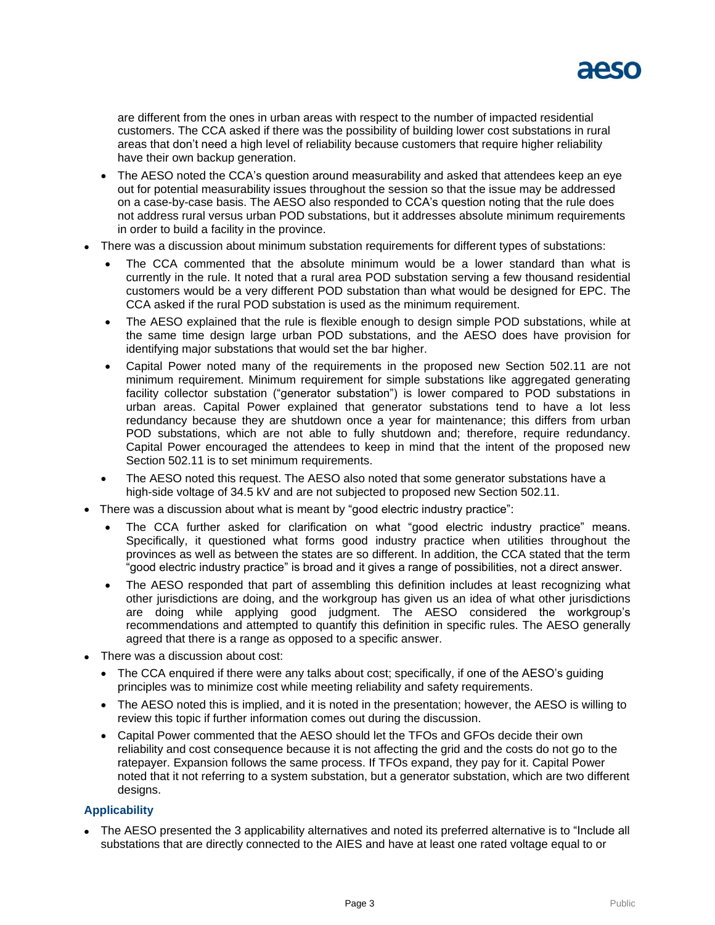

are different from the ones in urban areas with respect to the number of impacted residential customers. The CCA asked if there was the possibility of building lower cost substations in rural areas that don't need a high level of reliability because customers that require higher reliability have their own backup generation.

- The AESO noted the CCA's question around measurability and asked that attendees keep an eye out for potential measurability issues throughout the session so that the issue may be addressed on a case-by-case basis. The AESO also responded to CCA's question noting that the rule does not address rural versus urban POD substations, but it addresses absolute minimum requirements in order to build a facility in the province.
- There was a discussion about minimum substation requirements for different types of substations:
	- The CCA commented that the absolute minimum would be a lower standard than what is currently in the rule. It noted that a rural area POD substation serving a few thousand residential customers would be a very different POD substation than what would be designed for EPC. The CCA asked if the rural POD substation is used as the minimum requirement.
	- The AESO explained that the rule is flexible enough to design simple POD substations, while at the same time design large urban POD substations, and the AESO does have provision for identifying major substations that would set the bar higher.
	- Capital Power noted many of the requirements in the proposed new Section 502.11 are not minimum requirement. Minimum requirement for simple substations like aggregated generating facility collector substation ("generator substation") is lower compared to POD substations in urban areas. Capital Power explained that generator substations tend to have a lot less redundancy because they are shutdown once a year for maintenance; this differs from urban POD substations, which are not able to fully shutdown and; therefore, require redundancy. Capital Power encouraged the attendees to keep in mind that the intent of the proposed new Section 502.11 is to set minimum requirements.
	- The AESO noted this request. The AESO also noted that some generator substations have a high-side voltage of 34.5 kV and are not subjected to proposed new Section 502.11.
- There was a discussion about what is meant by "good electric industry practice":
	- The CCA further asked for clarification on what "good electric industry practice" means. Specifically, it questioned what forms good industry practice when utilities throughout the provinces as well as between the states are so different. In addition, the CCA stated that the term "good electric industry practice" is broad and it gives a range of possibilities, not a direct answer.
	- The AESO responded that part of assembling this definition includes at least recognizing what other jurisdictions are doing, and the workgroup has given us an idea of what other jurisdictions are doing while applying good judgment. The AESO considered the workgroup's recommendations and attempted to quantify this definition in specific rules. The AESO generally agreed that there is a range as opposed to a specific answer.
- There was a discussion about cost:
	- The CCA enquired if there were any talks about cost; specifically, if one of the AESO's guiding principles was to minimize cost while meeting reliability and safety requirements.
	- The AESO noted this is implied, and it is noted in the presentation; however, the AESO is willing to review this topic if further information comes out during the discussion.
	- Capital Power commented that the AESO should let the TFOs and GFOs decide their own reliability and cost consequence because it is not affecting the grid and the costs do not go to the ratepayer. Expansion follows the same process. If TFOs expand, they pay for it. Capital Power noted that it not referring to a system substation, but a generator substation, which are two different designs.

#### **Applicability**

 The AESO presented the 3 applicability alternatives and noted its preferred alternative is to "Include all substations that are directly connected to the AIES and have at least one rated voltage equal to or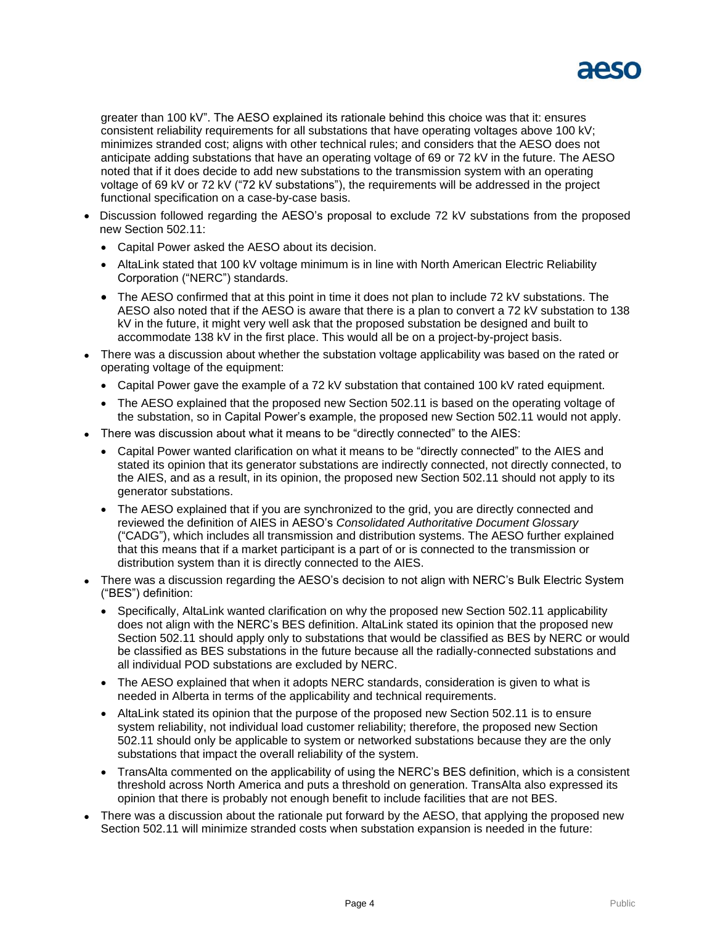

greater than 100 kV". The AESO explained its rationale behind this choice was that it: ensures consistent reliability requirements for all substations that have operating voltages above 100 kV; minimizes stranded cost; aligns with other technical rules; and considers that the AESO does not anticipate adding substations that have an operating voltage of 69 or 72 kV in the future. The AESO noted that if it does decide to add new substations to the transmission system with an operating voltage of 69 kV or 72 kV ("72 kV substations"), the requirements will be addressed in the project functional specification on a case-by-case basis.

- Discussion followed regarding the AESO's proposal to exclude 72 kV substations from the proposed new Section 502.11:
	- Capital Power asked the AESO about its decision.
	- AltaLink stated that 100 kV voltage minimum is in line with North American Electric Reliability Corporation ("NERC") standards.
	- The AESO confirmed that at this point in time it does not plan to include 72 kV substations. The AESO also noted that if the AESO is aware that there is a plan to convert a 72 kV substation to 138 kV in the future, it might very well ask that the proposed substation be designed and built to accommodate 138 kV in the first place. This would all be on a project-by-project basis.
- There was a discussion about whether the substation voltage applicability was based on the rated or operating voltage of the equipment:
	- Capital Power gave the example of a 72 kV substation that contained 100 kV rated equipment.
	- The AESO explained that the proposed new Section 502.11 is based on the operating voltage of the substation, so in Capital Power's example, the proposed new Section 502.11 would not apply.
- There was discussion about what it means to be "directly connected" to the AIES:
	- Capital Power wanted clarification on what it means to be "directly connected" to the AIES and stated its opinion that its generator substations are indirectly connected, not directly connected, to the AIES, and as a result, in its opinion, the proposed new Section 502.11 should not apply to its generator substations.
	- The AESO explained that if you are synchronized to the grid, you are directly connected and reviewed the definition of AIES in AESO's *Consolidated Authoritative Document Glossary* ("CADG"), which includes all transmission and distribution systems. The AESO further explained that this means that if a market participant is a part of or is connected to the transmission or distribution system than it is directly connected to the AIES.
- There was a discussion regarding the AESO's decision to not align with NERC's Bulk Electric System ("BES") definition:
	- Specifically, AltaLink wanted clarification on why the proposed new Section 502.11 applicability does not align with the NERC's BES definition. AltaLink stated its opinion that the proposed new Section 502.11 should apply only to substations that would be classified as BES by NERC or would be classified as BES substations in the future because all the radially-connected substations and all individual POD substations are excluded by NERC.
	- The AESO explained that when it adopts NERC standards, consideration is given to what is needed in Alberta in terms of the applicability and technical requirements.
	- AltaLink stated its opinion that the purpose of the proposed new Section 502.11 is to ensure system reliability, not individual load customer reliability; therefore, the proposed new Section 502.11 should only be applicable to system or networked substations because they are the only substations that impact the overall reliability of the system.
	- TransAlta commented on the applicability of using the NERC's BES definition, which is a consistent threshold across North America and puts a threshold on generation. TransAlta also expressed its opinion that there is probably not enough benefit to include facilities that are not BES.
- There was a discussion about the rationale put forward by the AESO, that applying the proposed new Section 502.11 will minimize stranded costs when substation expansion is needed in the future: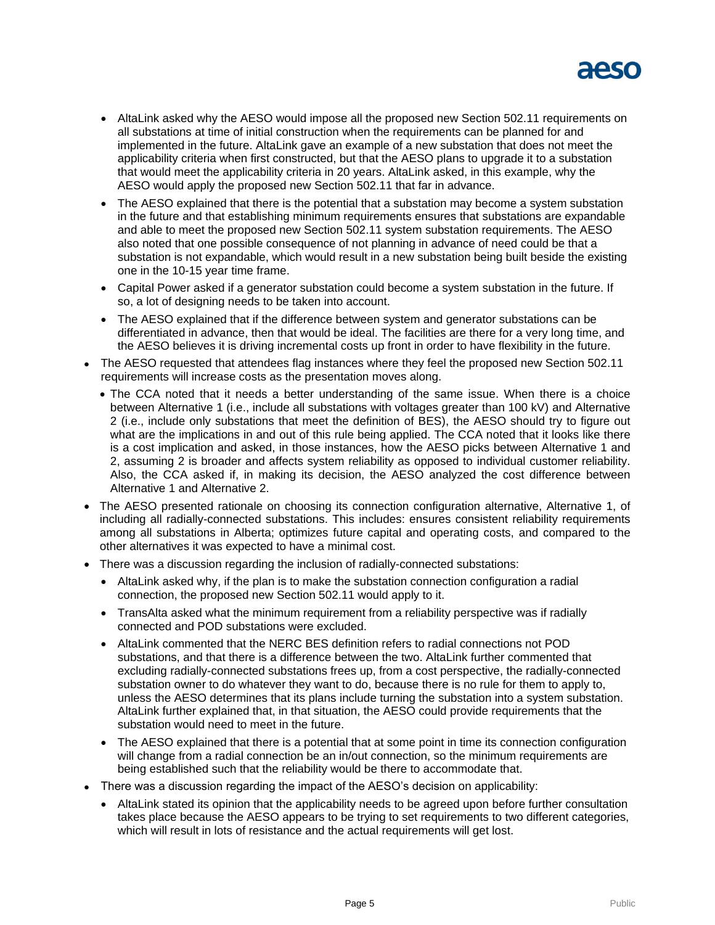

- AltaLink asked why the AESO would impose all the proposed new Section 502.11 requirements on all substations at time of initial construction when the requirements can be planned for and implemented in the future. AltaLink gave an example of a new substation that does not meet the applicability criteria when first constructed, but that the AESO plans to upgrade it to a substation that would meet the applicability criteria in 20 years. AltaLink asked, in this example, why the AESO would apply the proposed new Section 502.11 that far in advance.
- The AESO explained that there is the potential that a substation may become a system substation in the future and that establishing minimum requirements ensures that substations are expandable and able to meet the proposed new Section 502.11 system substation requirements. The AESO also noted that one possible consequence of not planning in advance of need could be that a substation is not expandable, which would result in a new substation being built beside the existing one in the 10-15 year time frame.
- Capital Power asked if a generator substation could become a system substation in the future. If so, a lot of designing needs to be taken into account.
- The AESO explained that if the difference between system and generator substations can be differentiated in advance, then that would be ideal. The facilities are there for a very long time, and the AESO believes it is driving incremental costs up front in order to have flexibility in the future.
- The AESO requested that attendees flag instances where they feel the proposed new Section 502.11 requirements will increase costs as the presentation moves along.
	- The CCA noted that it needs a better understanding of the same issue. When there is a choice between Alternative 1 (i.e., include all substations with voltages greater than 100 kV) and Alternative 2 (i.e., include only substations that meet the definition of BES), the AESO should try to figure out what are the implications in and out of this rule being applied. The CCA noted that it looks like there is a cost implication and asked, in those instances, how the AESO picks between Alternative 1 and 2, assuming 2 is broader and affects system reliability as opposed to individual customer reliability. Also, the CCA asked if, in making its decision, the AESO analyzed the cost difference between Alternative 1 and Alternative 2.
- The AESO presented rationale on choosing its connection configuration alternative, Alternative 1, of including all radially-connected substations. This includes: ensures consistent reliability requirements among all substations in Alberta; optimizes future capital and operating costs, and compared to the other alternatives it was expected to have a minimal cost.
- There was a discussion regarding the inclusion of radially-connected substations:
	- AltaLink asked why, if the plan is to make the substation connection configuration a radial connection, the proposed new Section 502.11 would apply to it.
	- TransAlta asked what the minimum requirement from a reliability perspective was if radially connected and POD substations were excluded.
	- AltaLink commented that the NERC BES definition refers to radial connections not POD substations, and that there is a difference between the two. AltaLink further commented that excluding radially-connected substations frees up, from a cost perspective, the radially-connected substation owner to do whatever they want to do, because there is no rule for them to apply to, unless the AESO determines that its plans include turning the substation into a system substation. AltaLink further explained that, in that situation, the AESO could provide requirements that the substation would need to meet in the future.
	- The AESO explained that there is a potential that at some point in time its connection configuration will change from a radial connection be an in/out connection, so the minimum requirements are being established such that the reliability would be there to accommodate that.
- There was a discussion regarding the impact of the AESO's decision on applicability:
	- AltaLink stated its opinion that the applicability needs to be agreed upon before further consultation takes place because the AESO appears to be trying to set requirements to two different categories, which will result in lots of resistance and the actual requirements will get lost.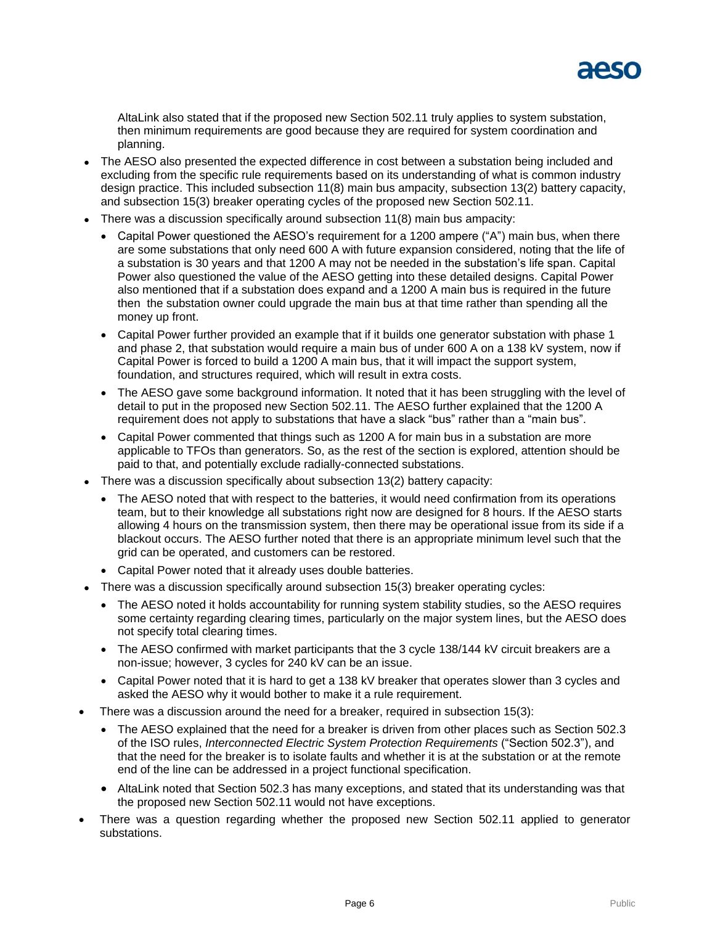

AltaLink also stated that if the proposed new Section 502.11 truly applies to system substation, then minimum requirements are good because they are required for system coordination and planning.

- The AESO also presented the expected difference in cost between a substation being included and excluding from the specific rule requirements based on its understanding of what is common industry design practice. This included subsection 11(8) main bus ampacity, subsection 13(2) battery capacity, and subsection 15(3) breaker operating cycles of the proposed new Section 502.11.
- There was a discussion specifically around subsection 11(8) main bus ampacity:
	- Capital Power questioned the AESO's requirement for a 1200 ampere ("A") main bus, when there are some substations that only need 600 A with future expansion considered, noting that the life of a substation is 30 years and that 1200 A may not be needed in the substation's life span. Capital Power also questioned the value of the AESO getting into these detailed designs. Capital Power also mentioned that if a substation does expand and a 1200 A main bus is required in the future then the substation owner could upgrade the main bus at that time rather than spending all the money up front.
	- Capital Power further provided an example that if it builds one generator substation with phase 1 and phase 2, that substation would require a main bus of under 600 A on a 138 kV system, now if Capital Power is forced to build a 1200 A main bus, that it will impact the support system, foundation, and structures required, which will result in extra costs.
	- The AESO gave some background information. It noted that it has been struggling with the level of detail to put in the proposed new Section 502.11. The AESO further explained that the 1200 A requirement does not apply to substations that have a slack "bus" rather than a "main bus".
	- Capital Power commented that things such as 1200 A for main bus in a substation are more applicable to TFOs than generators. So, as the rest of the section is explored, attention should be paid to that, and potentially exclude radially-connected substations.
- There was a discussion specifically about subsection 13(2) battery capacity:
	- The AESO noted that with respect to the batteries, it would need confirmation from its operations team, but to their knowledge all substations right now are designed for 8 hours. If the AESO starts allowing 4 hours on the transmission system, then there may be operational issue from its side if a blackout occurs. The AESO further noted that there is an appropriate minimum level such that the grid can be operated, and customers can be restored.
	- Capital Power noted that it already uses double batteries.
- There was a discussion specifically around subsection 15(3) breaker operating cycles:
	- The AESO noted it holds accountability for running system stability studies, so the AESO requires some certainty regarding clearing times, particularly on the major system lines, but the AESO does not specify total clearing times.
	- The AESO confirmed with market participants that the 3 cycle 138/144 kV circuit breakers are a non-issue; however, 3 cycles for 240 kV can be an issue.
	- Capital Power noted that it is hard to get a 138 kV breaker that operates slower than 3 cycles and asked the AESO why it would bother to make it a rule requirement.
- There was a discussion around the need for a breaker, required in subsection 15(3):
	- The AESO explained that the need for a breaker is driven from other places such as Section 502.3 of the ISO rules, *Interconnected Electric System Protection Requirements* ("Section 502.3"), and that the need for the breaker is to isolate faults and whether it is at the substation or at the remote end of the line can be addressed in a project functional specification.
	- AltaLink noted that Section 502.3 has many exceptions, and stated that its understanding was that the proposed new Section 502.11 would not have exceptions.
- There was a question regarding whether the proposed new Section 502.11 applied to generator substations.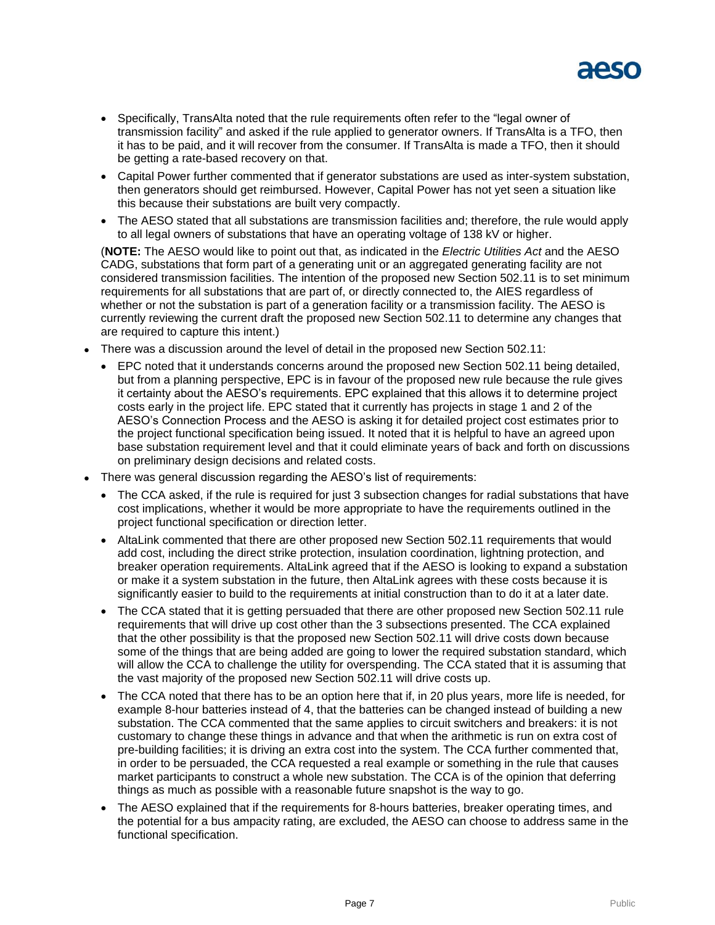

- Specifically, TransAlta noted that the rule requirements often refer to the "legal owner of transmission facility" and asked if the rule applied to generator owners. If TransAlta is a TFO, then it has to be paid, and it will recover from the consumer. If TransAlta is made a TFO, then it should be getting a rate-based recovery on that.
- Capital Power further commented that if generator substations are used as inter-system substation, then generators should get reimbursed. However, Capital Power has not yet seen a situation like this because their substations are built very compactly.
- The AESO stated that all substations are transmission facilities and; therefore, the rule would apply to all legal owners of substations that have an operating voltage of 138 kV or higher.

(**NOTE:** The AESO would like to point out that, as indicated in the *Electric Utilities Act* and the AESO CADG, substations that form part of a generating unit or an aggregated generating facility are not considered transmission facilities. The intention of the proposed new Section 502.11 is to set minimum requirements for all substations that are part of, or directly connected to, the AIES regardless of whether or not the substation is part of a generation facility or a transmission facility. The AESO is currently reviewing the current draft the proposed new Section 502.11 to determine any changes that are required to capture this intent.)

- There was a discussion around the level of detail in the proposed new Section 502.11:
	- EPC noted that it understands concerns around the proposed new Section 502.11 being detailed, but from a planning perspective, EPC is in favour of the proposed new rule because the rule gives it certainty about the AESO's requirements. EPC explained that this allows it to determine project costs early in the project life. EPC stated that it currently has projects in stage 1 and 2 of the AESO's Connection Process and the AESO is asking it for detailed project cost estimates prior to the project functional specification being issued. It noted that it is helpful to have an agreed upon base substation requirement level and that it could eliminate years of back and forth on discussions on preliminary design decisions and related costs.
- There was general discussion regarding the AESO's list of requirements:
	- The CCA asked, if the rule is required for just 3 subsection changes for radial substations that have cost implications, whether it would be more appropriate to have the requirements outlined in the project functional specification or direction letter.
	- AltaLink commented that there are other proposed new Section 502.11 requirements that would add cost, including the direct strike protection, insulation coordination, lightning protection, and breaker operation requirements. AltaLink agreed that if the AESO is looking to expand a substation or make it a system substation in the future, then AltaLink agrees with these costs because it is significantly easier to build to the requirements at initial construction than to do it at a later date.
	- The CCA stated that it is getting persuaded that there are other proposed new Section 502.11 rule requirements that will drive up cost other than the 3 subsections presented. The CCA explained that the other possibility is that the proposed new Section 502.11 will drive costs down because some of the things that are being added are going to lower the required substation standard, which will allow the CCA to challenge the utility for overspending. The CCA stated that it is assuming that the vast majority of the proposed new Section 502.11 will drive costs up.
	- The CCA noted that there has to be an option here that if, in 20 plus years, more life is needed, for example 8-hour batteries instead of 4, that the batteries can be changed instead of building a new substation. The CCA commented that the same applies to circuit switchers and breakers: it is not customary to change these things in advance and that when the arithmetic is run on extra cost of pre-building facilities; it is driving an extra cost into the system. The CCA further commented that, in order to be persuaded, the CCA requested a real example or something in the rule that causes market participants to construct a whole new substation. The CCA is of the opinion that deferring things as much as possible with a reasonable future snapshot is the way to go.
	- The AESO explained that if the requirements for 8-hours batteries, breaker operating times, and the potential for a bus ampacity rating, are excluded, the AESO can choose to address same in the functional specification.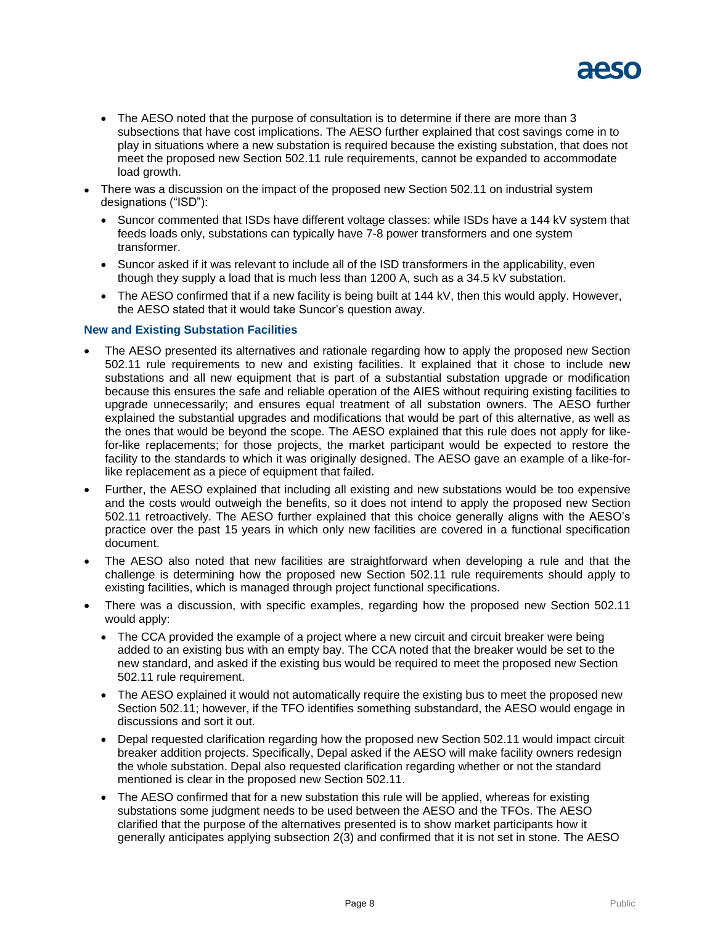

- The AESO noted that the purpose of consultation is to determine if there are more than 3 subsections that have cost implications. The AESO further explained that cost savings come in to play in situations where a new substation is required because the existing substation, that does not meet the proposed new Section 502.11 rule requirements, cannot be expanded to accommodate load growth.
- There was a discussion on the impact of the proposed new Section 502.11 on industrial system designations ("ISD"):
	- Suncor commented that ISDs have different voltage classes: while ISDs have a 144 kV system that feeds loads only, substations can typically have 7-8 power transformers and one system transformer.
	- Suncor asked if it was relevant to include all of the ISD transformers in the applicability, even though they supply a load that is much less than 1200 A, such as a 34.5 kV substation.
	- The AESO confirmed that if a new facility is being built at 144 kV, then this would apply. However, the AESO stated that it would take Suncor's question away.

#### **New and Existing Substation Facilities**

- The AESO presented its alternatives and rationale regarding how to apply the proposed new Section 502.11 rule requirements to new and existing facilities. It explained that it chose to include new substations and all new equipment that is part of a substantial substation upgrade or modification because this ensures the safe and reliable operation of the AIES without requiring existing facilities to upgrade unnecessarily; and ensures equal treatment of all substation owners. The AESO further explained the substantial upgrades and modifications that would be part of this alternative, as well as the ones that would be beyond the scope. The AESO explained that this rule does not apply for likefor-like replacements; for those projects, the market participant would be expected to restore the facility to the standards to which it was originally designed. The AESO gave an example of a like-forlike replacement as a piece of equipment that failed.
- Further, the AESO explained that including all existing and new substations would be too expensive and the costs would outweigh the benefits, so it does not intend to apply the proposed new Section 502.11 retroactively. The AESO further explained that this choice generally aligns with the AESO's practice over the past 15 years in which only new facilities are covered in a functional specification document.
- The AESO also noted that new facilities are straightforward when developing a rule and that the challenge is determining how the proposed new Section 502.11 rule requirements should apply to existing facilities, which is managed through project functional specifications.
- There was a discussion, with specific examples, regarding how the proposed new Section 502.11 would apply:
	- The CCA provided the example of a project where a new circuit and circuit breaker were being added to an existing bus with an empty bay. The CCA noted that the breaker would be set to the new standard, and asked if the existing bus would be required to meet the proposed new Section 502.11 rule requirement.
	- The AESO explained it would not automatically require the existing bus to meet the proposed new Section 502.11; however, if the TFO identifies something substandard, the AESO would engage in discussions and sort it out.
	- Depal requested clarification regarding how the proposed new Section 502.11 would impact circuit breaker addition projects. Specifically, Depal asked if the AESO will make facility owners redesign the whole substation. Depal also requested clarification regarding whether or not the standard mentioned is clear in the proposed new Section 502.11.
	- The AESO confirmed that for a new substation this rule will be applied, whereas for existing substations some judgment needs to be used between the AESO and the TFOs. The AESO clarified that the purpose of the alternatives presented is to show market participants how it generally anticipates applying subsection 2(3) and confirmed that it is not set in stone. The AESO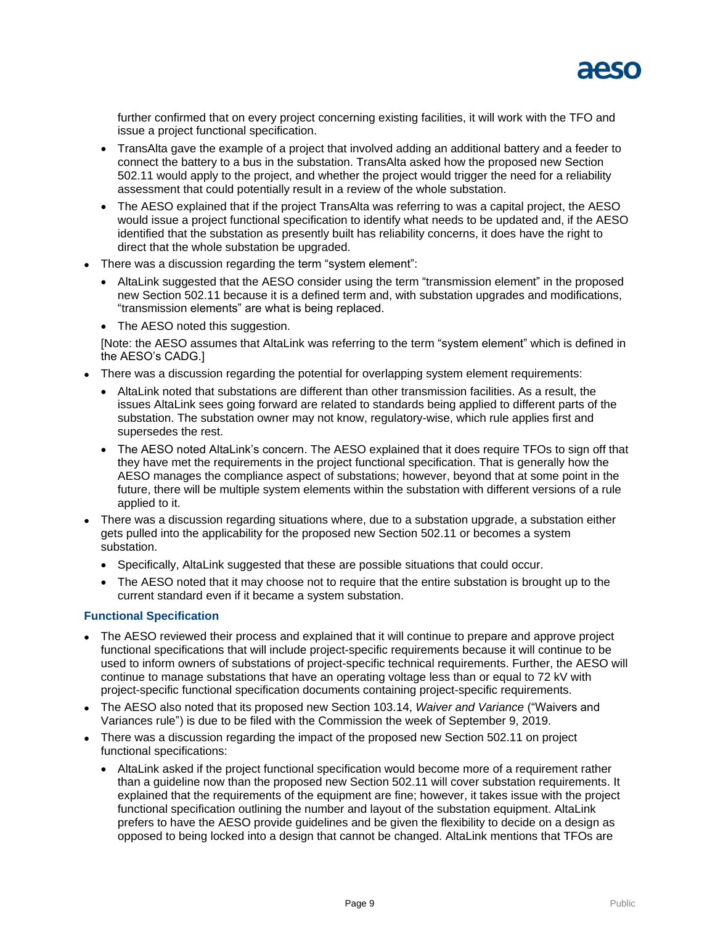

further confirmed that on every project concerning existing facilities, it will work with the TFO and issue a project functional specification.

- TransAlta gave the example of a project that involved adding an additional battery and a feeder to connect the battery to a bus in the substation. TransAlta asked how the proposed new Section 502.11 would apply to the project, and whether the project would trigger the need for a reliability assessment that could potentially result in a review of the whole substation.
- The AESO explained that if the project TransAlta was referring to was a capital project, the AESO would issue a project functional specification to identify what needs to be updated and, if the AESO identified that the substation as presently built has reliability concerns, it does have the right to direct that the whole substation be upgraded.
- There was a discussion regarding the term "system element":
	- AltaLink suggested that the AESO consider using the term "transmission element" in the proposed new Section 502.11 because it is a defined term and, with substation upgrades and modifications, "transmission elements" are what is being replaced.
	- The AESO noted this suggestion.

[Note: the AESO assumes that AltaLink was referring to the term "system element" which is defined in the AESO's CADG.]

- There was a discussion regarding the potential for overlapping system element requirements:
	- AltaLink noted that substations are different than other transmission facilities. As a result, the issues AltaLink sees going forward are related to standards being applied to different parts of the substation. The substation owner may not know, regulatory-wise, which rule applies first and supersedes the rest.
	- The AESO noted AltaLink's concern. The AESO explained that it does require TFOs to sign off that they have met the requirements in the project functional specification. That is generally how the AESO manages the compliance aspect of substations; however, beyond that at some point in the future, there will be multiple system elements within the substation with different versions of a rule applied to it.
- There was a discussion regarding situations where, due to a substation upgrade, a substation either gets pulled into the applicability for the proposed new Section 502.11 or becomes a system substation.
	- Specifically, AltaLink suggested that these are possible situations that could occur.
	- The AESO noted that it may choose not to require that the entire substation is brought up to the current standard even if it became a system substation.

#### **Functional Specification**

- The AESO reviewed their process and explained that it will continue to prepare and approve project functional specifications that will include project-specific requirements because it will continue to be used to inform owners of substations of project-specific technical requirements. Further, the AESO will continue to manage substations that have an operating voltage less than or equal to 72 kV with project-specific functional specification documents containing project-specific requirements.
- The AESO also noted that its proposed new Section 103.14, *Waiver and Variance* ("Waivers and Variances rule") is due to be filed with the Commission the week of September 9, 2019.
- There was a discussion regarding the impact of the proposed new Section 502.11 on project functional specifications:
	- AltaLink asked if the project functional specification would become more of a requirement rather than a guideline now than the proposed new Section 502.11 will cover substation requirements. It explained that the requirements of the equipment are fine; however, it takes issue with the project functional specification outlining the number and layout of the substation equipment. AltaLink prefers to have the AESO provide guidelines and be given the flexibility to decide on a design as opposed to being locked into a design that cannot be changed. AltaLink mentions that TFOs are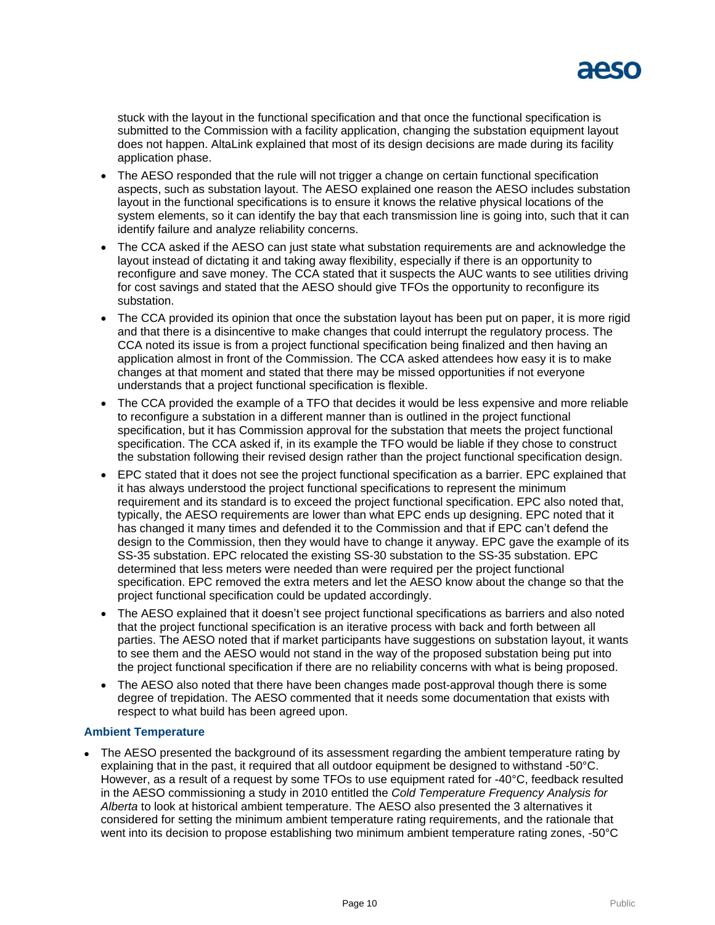

stuck with the layout in the functional specification and that once the functional specification is submitted to the Commission with a facility application, changing the substation equipment layout does not happen. AltaLink explained that most of its design decisions are made during its facility application phase.

- The AESO responded that the rule will not trigger a change on certain functional specification aspects, such as substation layout. The AESO explained one reason the AESO includes substation layout in the functional specifications is to ensure it knows the relative physical locations of the system elements, so it can identify the bay that each transmission line is going into, such that it can identify failure and analyze reliability concerns.
- The CCA asked if the AESO can just state what substation requirements are and acknowledge the layout instead of dictating it and taking away flexibility, especially if there is an opportunity to reconfigure and save money. The CCA stated that it suspects the AUC wants to see utilities driving for cost savings and stated that the AESO should give TFOs the opportunity to reconfigure its substation.
- The CCA provided its opinion that once the substation layout has been put on paper, it is more rigid and that there is a disincentive to make changes that could interrupt the regulatory process. The CCA noted its issue is from a project functional specification being finalized and then having an application almost in front of the Commission. The CCA asked attendees how easy it is to make changes at that moment and stated that there may be missed opportunities if not everyone understands that a project functional specification is flexible.
- The CCA provided the example of a TFO that decides it would be less expensive and more reliable to reconfigure a substation in a different manner than is outlined in the project functional specification, but it has Commission approval for the substation that meets the project functional specification. The CCA asked if, in its example the TFO would be liable if they chose to construct the substation following their revised design rather than the project functional specification design.
- EPC stated that it does not see the project functional specification as a barrier. EPC explained that it has always understood the project functional specifications to represent the minimum requirement and its standard is to exceed the project functional specification. EPC also noted that, typically, the AESO requirements are lower than what EPC ends up designing. EPC noted that it has changed it many times and defended it to the Commission and that if EPC can't defend the design to the Commission, then they would have to change it anyway. EPC gave the example of its SS-35 substation. EPC relocated the existing SS-30 substation to the SS-35 substation. EPC determined that less meters were needed than were required per the project functional specification. EPC removed the extra meters and let the AESO know about the change so that the project functional specification could be updated accordingly.
- The AESO explained that it doesn't see project functional specifications as barriers and also noted that the project functional specification is an iterative process with back and forth between all parties. The AESO noted that if market participants have suggestions on substation layout, it wants to see them and the AESO would not stand in the way of the proposed substation being put into the project functional specification if there are no reliability concerns with what is being proposed.
- The AESO also noted that there have been changes made post-approval though there is some degree of trepidation. The AESO commented that it needs some documentation that exists with respect to what build has been agreed upon.

#### **Ambient Temperature**

 The AESO presented the background of its assessment regarding the ambient temperature rating by explaining that in the past, it required that all outdoor equipment be designed to withstand -50°C. However, as a result of a request by some TFOs to use equipment rated for -40°C, feedback resulted in the AESO commissioning a study in 2010 entitled the *Cold Temperature Frequency Analysis for Alberta* to look at historical ambient temperature. The AESO also presented the 3 alternatives it considered for setting the minimum ambient temperature rating requirements, and the rationale that went into its decision to propose establishing two minimum ambient temperature rating zones, -50°C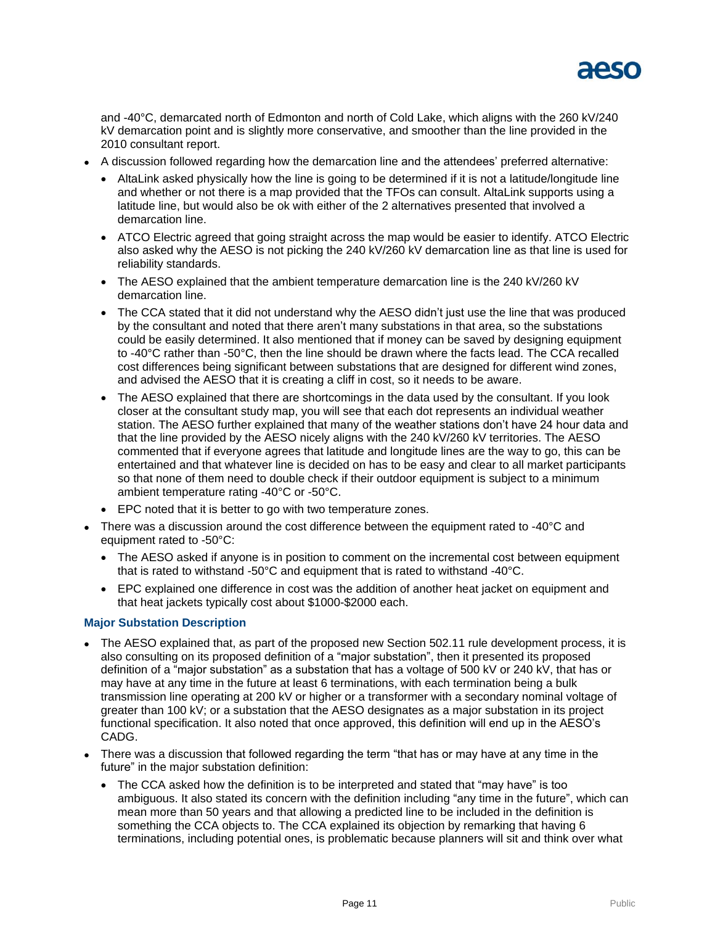

and -40°C, demarcated north of Edmonton and north of Cold Lake, which aligns with the 260 kV/240 kV demarcation point and is slightly more conservative, and smoother than the line provided in the 2010 consultant report.

- A discussion followed regarding how the demarcation line and the attendees' preferred alternative:
	- AltaLink asked physically how the line is going to be determined if it is not a latitude/longitude line and whether or not there is a map provided that the TFOs can consult. AltaLink supports using a latitude line, but would also be ok with either of the 2 alternatives presented that involved a demarcation line.
	- ATCO Electric agreed that going straight across the map would be easier to identify. ATCO Electric also asked why the AESO is not picking the 240 kV/260 kV demarcation line as that line is used for reliability standards.
	- The AESO explained that the ambient temperature demarcation line is the 240 kV/260 kV demarcation line.
	- The CCA stated that it did not understand why the AESO didn't just use the line that was produced by the consultant and noted that there aren't many substations in that area, so the substations could be easily determined. It also mentioned that if money can be saved by designing equipment to -40°C rather than -50°C, then the line should be drawn where the facts lead. The CCA recalled cost differences being significant between substations that are designed for different wind zones, and advised the AESO that it is creating a cliff in cost, so it needs to be aware.
	- The AESO explained that there are shortcomings in the data used by the consultant. If you look closer at the consultant study map, you will see that each dot represents an individual weather station. The AESO further explained that many of the weather stations don't have 24 hour data and that the line provided by the AESO nicely aligns with the 240 kV/260 kV territories. The AESO commented that if everyone agrees that latitude and longitude lines are the way to go, this can be entertained and that whatever line is decided on has to be easy and clear to all market participants so that none of them need to double check if their outdoor equipment is subject to a minimum ambient temperature rating -40°C or -50°C.
	- EPC noted that it is better to go with two temperature zones.
- There was a discussion around the cost difference between the equipment rated to -40°C and equipment rated to -50°C:
	- The AESO asked if anyone is in position to comment on the incremental cost between equipment that is rated to withstand -50°C and equipment that is rated to withstand -40°C.
	- EPC explained one difference in cost was the addition of another heat jacket on equipment and that heat jackets typically cost about \$1000-\$2000 each.

#### **Major Substation Description**

- The AESO explained that, as part of the proposed new Section 502.11 rule development process, it is also consulting on its proposed definition of a "major substation", then it presented its proposed definition of a "major substation" as a substation that has a voltage of 500 kV or 240 kV, that has or may have at any time in the future at least 6 terminations, with each termination being a bulk transmission line operating at 200 kV or higher or a transformer with a secondary nominal voltage of greater than 100 kV; or a substation that the AESO designates as a major substation in its project functional specification. It also noted that once approved, this definition will end up in the AESO's CADG.
- There was a discussion that followed regarding the term "that has or may have at any time in the future" in the major substation definition:
	- The CCA asked how the definition is to be interpreted and stated that "may have" is too ambiguous. It also stated its concern with the definition including "any time in the future", which can mean more than 50 years and that allowing a predicted line to be included in the definition is something the CCA objects to. The CCA explained its objection by remarking that having 6 terminations, including potential ones, is problematic because planners will sit and think over what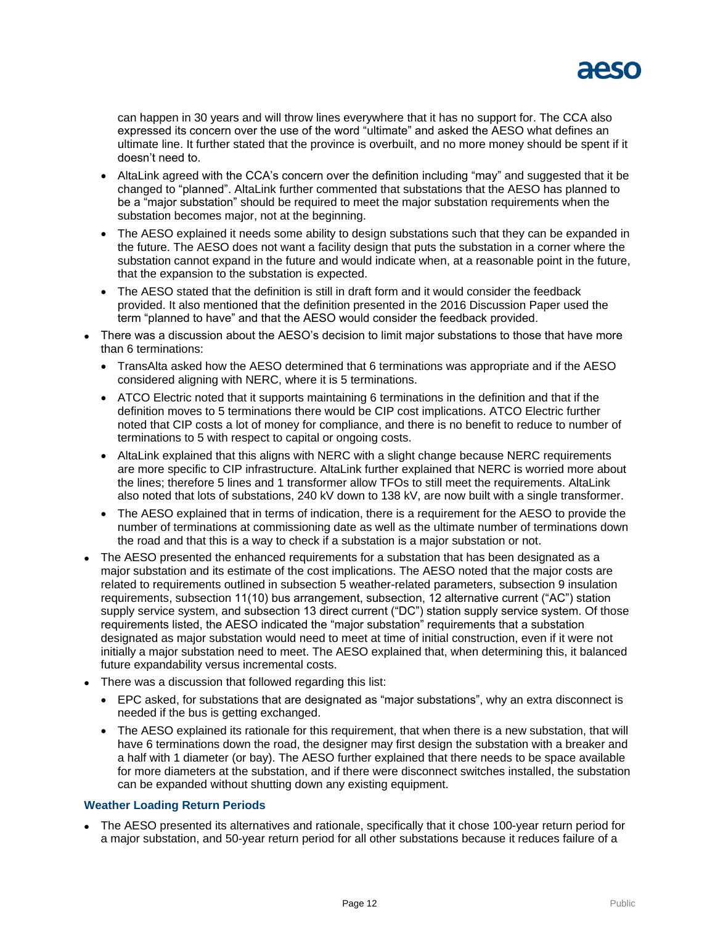

can happen in 30 years and will throw lines everywhere that it has no support for. The CCA also expressed its concern over the use of the word "ultimate" and asked the AESO what defines an ultimate line. It further stated that the province is overbuilt, and no more money should be spent if it doesn't need to.

- AltaLink agreed with the CCA's concern over the definition including "may" and suggested that it be changed to "planned". AltaLink further commented that substations that the AESO has planned to be a "major substation" should be required to meet the major substation requirements when the substation becomes major, not at the beginning.
- The AESO explained it needs some ability to design substations such that they can be expanded in the future. The AESO does not want a facility design that puts the substation in a corner where the substation cannot expand in the future and would indicate when, at a reasonable point in the future, that the expansion to the substation is expected.
- The AESO stated that the definition is still in draft form and it would consider the feedback provided. It also mentioned that the definition presented in the 2016 Discussion Paper used the term "planned to have" and that the AESO would consider the feedback provided.
- There was a discussion about the AESO's decision to limit major substations to those that have more than 6 terminations:
	- TransAlta asked how the AESO determined that 6 terminations was appropriate and if the AESO considered aligning with NERC, where it is 5 terminations.
	- ATCO Electric noted that it supports maintaining 6 terminations in the definition and that if the definition moves to 5 terminations there would be CIP cost implications. ATCO Electric further noted that CIP costs a lot of money for compliance, and there is no benefit to reduce to number of terminations to 5 with respect to capital or ongoing costs.
	- AltaLink explained that this aligns with NERC with a slight change because NERC requirements are more specific to CIP infrastructure. AltaLink further explained that NERC is worried more about the lines; therefore 5 lines and 1 transformer allow TFOs to still meet the requirements. AltaLink also noted that lots of substations, 240 kV down to 138 kV, are now built with a single transformer.
	- The AESO explained that in terms of indication, there is a requirement for the AESO to provide the number of terminations at commissioning date as well as the ultimate number of terminations down the road and that this is a way to check if a substation is a major substation or not.
- The AESO presented the enhanced requirements for a substation that has been designated as a major substation and its estimate of the cost implications. The AESO noted that the major costs are related to requirements outlined in subsection 5 weather-related parameters, subsection 9 insulation requirements, subsection 11(10) bus arrangement, subsection, 12 alternative current ("AC") station supply service system, and subsection 13 direct current ("DC") station supply service system. Of those requirements listed, the AESO indicated the "major substation" requirements that a substation designated as major substation would need to meet at time of initial construction, even if it were not initially a major substation need to meet. The AESO explained that, when determining this, it balanced future expandability versus incremental costs.
- There was a discussion that followed regarding this list:
	- EPC asked, for substations that are designated as "major substations", why an extra disconnect is needed if the bus is getting exchanged.
	- The AESO explained its rationale for this requirement, that when there is a new substation, that will have 6 terminations down the road, the designer may first design the substation with a breaker and a half with 1 diameter (or bay). The AESO further explained that there needs to be space available for more diameters at the substation, and if there were disconnect switches installed, the substation can be expanded without shutting down any existing equipment.

#### **Weather Loading Return Periods**

 The AESO presented its alternatives and rationale, specifically that it chose 100-year return period for a major substation, and 50-year return period for all other substations because it reduces failure of a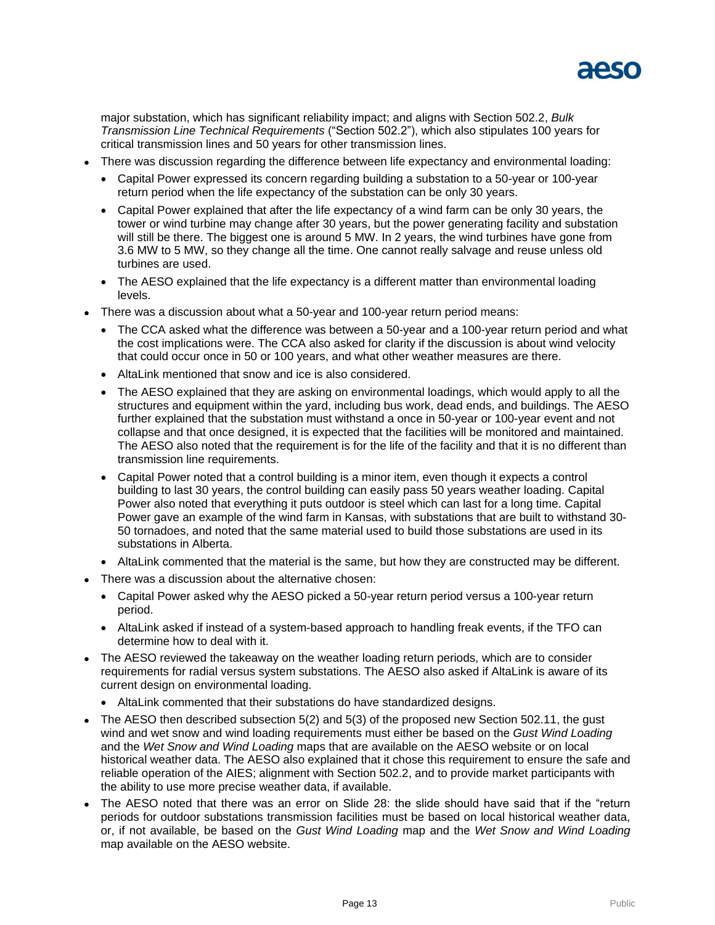

major substation, which has significant reliability impact; and aligns with Section 502.2, *Bulk Transmission Line Technical Requirements* ("Section 502.2"), which also stipulates 100 years for critical transmission lines and 50 years for other transmission lines.

- There was discussion regarding the difference between life expectancy and environmental loading:
	- Capital Power expressed its concern regarding building a substation to a 50-year or 100-year return period when the life expectancy of the substation can be only 30 years.
	- Capital Power explained that after the life expectancy of a wind farm can be only 30 years, the tower or wind turbine may change after 30 years, but the power generating facility and substation will still be there. The biggest one is around 5 MW. In 2 years, the wind turbines have gone from 3.6 MW to 5 MW, so they change all the time. One cannot really salvage and reuse unless old turbines are used.
	- The AESO explained that the life expectancy is a different matter than environmental loading levels.
- There was a discussion about what a 50-year and 100-year return period means:
	- The CCA asked what the difference was between a 50-year and a 100-year return period and what the cost implications were. The CCA also asked for clarity if the discussion is about wind velocity that could occur once in 50 or 100 years, and what other weather measures are there.
	- AltaLink mentioned that snow and ice is also considered.
	- The AESO explained that they are asking on environmental loadings, which would apply to all the structures and equipment within the yard, including bus work, dead ends, and buildings. The AESO further explained that the substation must withstand a once in 50-year or 100-year event and not collapse and that once designed, it is expected that the facilities will be monitored and maintained. The AESO also noted that the requirement is for the life of the facility and that it is no different than transmission line requirements.
	- Capital Power noted that a control building is a minor item, even though it expects a control building to last 30 years, the control building can easily pass 50 years weather loading. Capital Power also noted that everything it puts outdoor is steel which can last for a long time. Capital Power gave an example of the wind farm in Kansas, with substations that are built to withstand 30- 50 tornadoes, and noted that the same material used to build those substations are used in its substations in Alberta.
	- AltaLink commented that the material is the same, but how they are constructed may be different.
- There was a discussion about the alternative chosen:
	- Capital Power asked why the AESO picked a 50-year return period versus a 100-year return period.
	- AltaLink asked if instead of a system-based approach to handling freak events, if the TFO can determine how to deal with it.
- The AESO reviewed the takeaway on the weather loading return periods, which are to consider requirements for radial versus system substations. The AESO also asked if AltaLink is aware of its current design on environmental loading.
	- AltaLink commented that their substations do have standardized designs.
- The AESO then described subsection 5(2) and 5(3) of the proposed new Section 502.11, the gust wind and wet snow and wind loading requirements must either be based on the *Gust Wind Loading*  and the *Wet Snow and Wind Loading* maps that are available on the AESO website or on local historical weather data. The AESO also explained that it chose this requirement to ensure the safe and reliable operation of the AIES; alignment with Section 502.2, and to provide market participants with the ability to use more precise weather data, if available.
- The AESO noted that there was an error on Slide 28: the slide should have said that if the "return periods for outdoor substations transmission facilities must be based on local historical weather data, or, if not available, be based on the *Gust Wind Loading* map and the *Wet Snow and Wind Loading*  map available on the AESO website.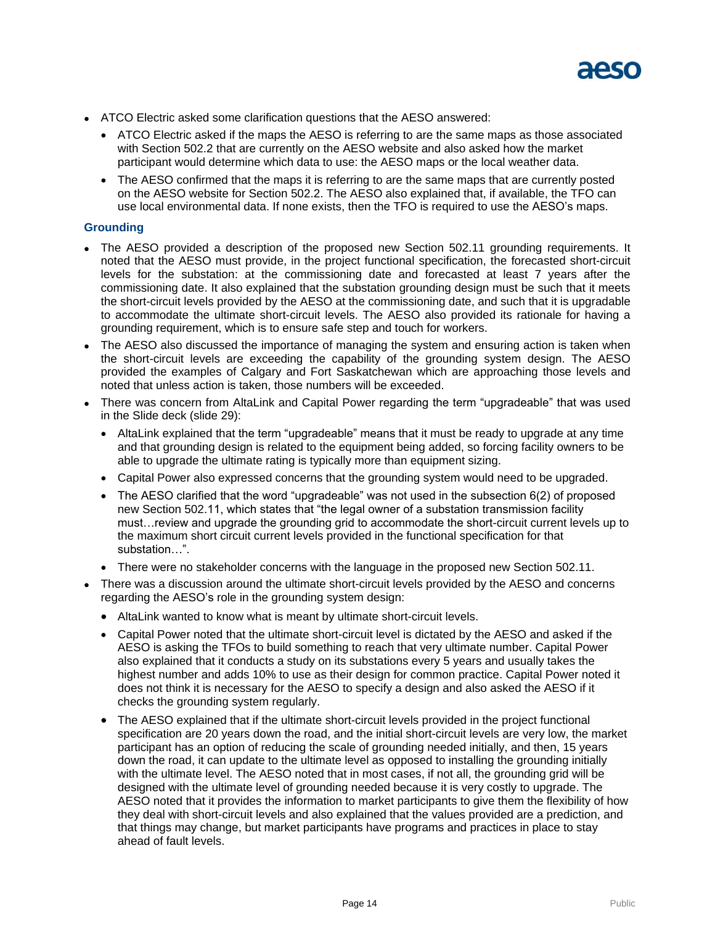

- ATCO Electric asked some clarification questions that the AESO answered:
	- ATCO Electric asked if the maps the AESO is referring to are the same maps as those associated with Section 502.2 that are currently on the AESO website and also asked how the market participant would determine which data to use: the AESO maps or the local weather data.
	- The AESO confirmed that the maps it is referring to are the same maps that are currently posted on the AESO website for Section 502.2. The AESO also explained that, if available, the TFO can use local environmental data. If none exists, then the TFO is required to use the AESO's maps.

#### **Grounding**

- The AESO provided a description of the proposed new Section 502.11 grounding requirements. It noted that the AESO must provide, in the project functional specification, the forecasted short-circuit levels for the substation: at the commissioning date and forecasted at least 7 years after the commissioning date. It also explained that the substation grounding design must be such that it meets the short-circuit levels provided by the AESO at the commissioning date, and such that it is upgradable to accommodate the ultimate short-circuit levels. The AESO also provided its rationale for having a grounding requirement, which is to ensure safe step and touch for workers.
- The AESO also discussed the importance of managing the system and ensuring action is taken when the short-circuit levels are exceeding the capability of the grounding system design. The AESO provided the examples of Calgary and Fort Saskatchewan which are approaching those levels and noted that unless action is taken, those numbers will be exceeded.
- There was concern from AltaLink and Capital Power regarding the term "upgradeable" that was used in the Slide deck (slide 29):
	- AltaLink explained that the term "upgradeable" means that it must be ready to upgrade at any time and that grounding design is related to the equipment being added, so forcing facility owners to be able to upgrade the ultimate rating is typically more than equipment sizing.
	- Capital Power also expressed concerns that the grounding system would need to be upgraded.
	- The AESO clarified that the word "upgradeable" was not used in the subsection 6(2) of proposed new Section 502.11, which states that "the legal owner of a substation transmission facility must…review and upgrade the grounding grid to accommodate the short-circuit current levels up to the maximum short circuit current levels provided in the functional specification for that substation…".
	- There were no stakeholder concerns with the language in the proposed new Section 502.11.
- There was a discussion around the ultimate short-circuit levels provided by the AESO and concerns regarding the AESO's role in the grounding system design:
	- AltaLink wanted to know what is meant by ultimate short-circuit levels.
	- Capital Power noted that the ultimate short-circuit level is dictated by the AESO and asked if the AESO is asking the TFOs to build something to reach that very ultimate number. Capital Power also explained that it conducts a study on its substations every 5 years and usually takes the highest number and adds 10% to use as their design for common practice. Capital Power noted it does not think it is necessary for the AESO to specify a design and also asked the AESO if it checks the grounding system regularly.
	- The AESO explained that if the ultimate short-circuit levels provided in the project functional specification are 20 years down the road, and the initial short-circuit levels are very low, the market participant has an option of reducing the scale of grounding needed initially, and then, 15 years down the road, it can update to the ultimate level as opposed to installing the grounding initially with the ultimate level. The AESO noted that in most cases, if not all, the grounding grid will be designed with the ultimate level of grounding needed because it is very costly to upgrade. The AESO noted that it provides the information to market participants to give them the flexibility of how they deal with short-circuit levels and also explained that the values provided are a prediction, and that things may change, but market participants have programs and practices in place to stay ahead of fault levels.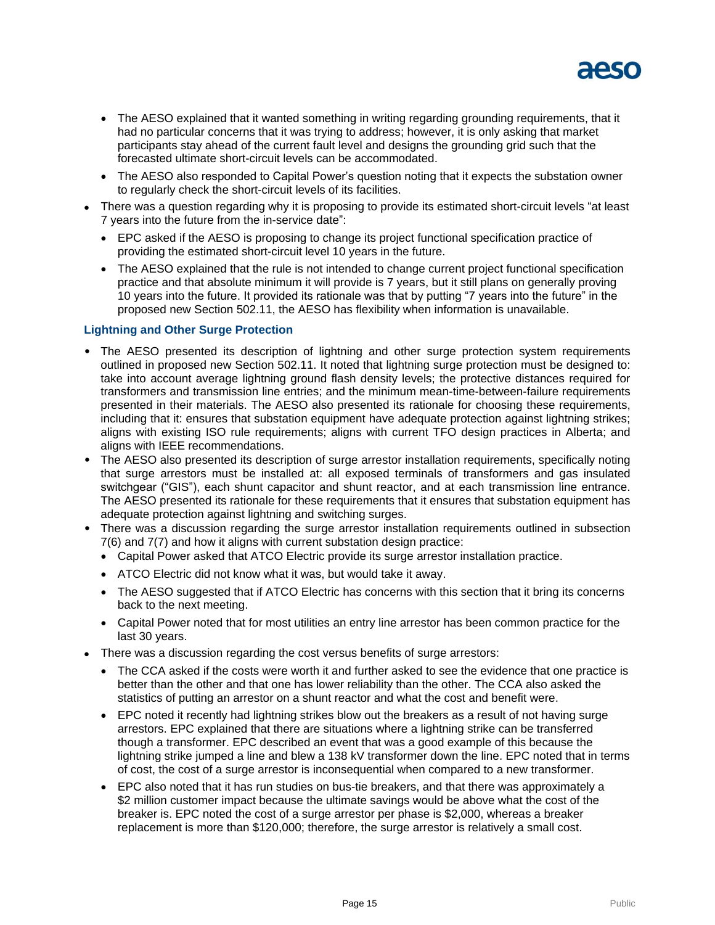

- The AESO explained that it wanted something in writing regarding grounding requirements, that it had no particular concerns that it was trying to address; however, it is only asking that market participants stay ahead of the current fault level and designs the grounding grid such that the forecasted ultimate short-circuit levels can be accommodated.
- The AESO also responded to Capital Power's question noting that it expects the substation owner to regularly check the short-circuit levels of its facilities.
- There was a question regarding why it is proposing to provide its estimated short-circuit levels "at least 7 years into the future from the in-service date":
	- EPC asked if the AESO is proposing to change its project functional specification practice of providing the estimated short-circuit level 10 years in the future.
	- The AESO explained that the rule is not intended to change current project functional specification practice and that absolute minimum it will provide is 7 years, but it still plans on generally proving 10 years into the future. It provided its rationale was that by putting "7 years into the future" in the proposed new Section 502.11, the AESO has flexibility when information is unavailable.

#### **Lightning and Other Surge Protection**

- The AESO presented its description of lightning and other surge protection system requirements outlined in proposed new Section 502.11. It noted that lightning surge protection must be designed to: take into account average lightning ground flash density levels; the protective distances required for transformers and transmission line entries; and the minimum mean-time-between-failure requirements presented in their materials. The AESO also presented its rationale for choosing these requirements, including that it: ensures that substation equipment have adequate protection against lightning strikes; aligns with existing ISO rule requirements; aligns with current TFO design practices in Alberta; and aligns with IEEE recommendations.
- The AESO also presented its description of surge arrestor installation requirements, specifically noting that surge arrestors must be installed at: all exposed terminals of transformers and gas insulated switchgear ("GIS"), each shunt capacitor and shunt reactor, and at each transmission line entrance. The AESO presented its rationale for these requirements that it ensures that substation equipment has adequate protection against lightning and switching surges.
- There was a discussion regarding the surge arrestor installation requirements outlined in subsection 7(6) and 7(7) and how it aligns with current substation design practice:
	- Capital Power asked that ATCO Electric provide its surge arrestor installation practice.
	- ATCO Electric did not know what it was, but would take it away.
	- The AESO suggested that if ATCO Electric has concerns with this section that it bring its concerns back to the next meeting.
	- Capital Power noted that for most utilities an entry line arrestor has been common practice for the last 30 years.
- There was a discussion regarding the cost versus benefits of surge arrestors:
	- The CCA asked if the costs were worth it and further asked to see the evidence that one practice is better than the other and that one has lower reliability than the other. The CCA also asked the statistics of putting an arrestor on a shunt reactor and what the cost and benefit were.
	- EPC noted it recently had lightning strikes blow out the breakers as a result of not having surge arrestors. EPC explained that there are situations where a lightning strike can be transferred though a transformer. EPC described an event that was a good example of this because the lightning strike jumped a line and blew a 138 kV transformer down the line. EPC noted that in terms of cost, the cost of a surge arrestor is inconsequential when compared to a new transformer.
	- EPC also noted that it has run studies on bus-tie breakers, and that there was approximately a \$2 million customer impact because the ultimate savings would be above what the cost of the breaker is. EPC noted the cost of a surge arrestor per phase is \$2,000, whereas a breaker replacement is more than \$120,000; therefore, the surge arrestor is relatively a small cost.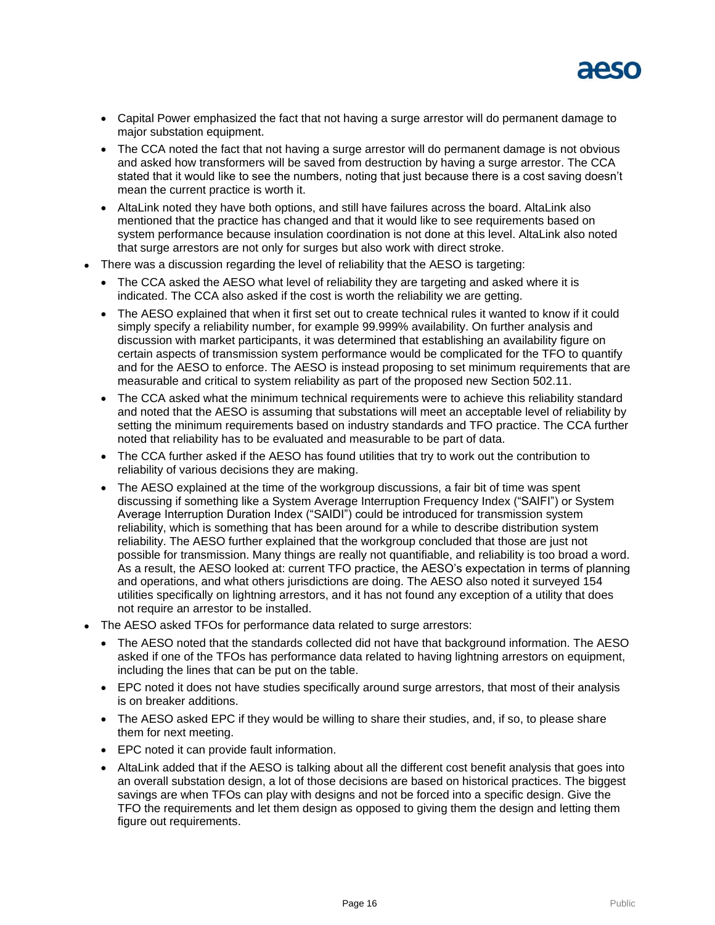

- Capital Power emphasized the fact that not having a surge arrestor will do permanent damage to major substation equipment.
- The CCA noted the fact that not having a surge arrestor will do permanent damage is not obvious and asked how transformers will be saved from destruction by having a surge arrestor. The CCA stated that it would like to see the numbers, noting that just because there is a cost saving doesn't mean the current practice is worth it.
- AltaLink noted they have both options, and still have failures across the board. AltaLink also mentioned that the practice has changed and that it would like to see requirements based on system performance because insulation coordination is not done at this level. AltaLink also noted that surge arrestors are not only for surges but also work with direct stroke.
- There was a discussion regarding the level of reliability that the AESO is targeting:
	- The CCA asked the AESO what level of reliability they are targeting and asked where it is indicated. The CCA also asked if the cost is worth the reliability we are getting.
	- The AESO explained that when it first set out to create technical rules it wanted to know if it could simply specify a reliability number, for example 99.999% availability. On further analysis and discussion with market participants, it was determined that establishing an availability figure on certain aspects of transmission system performance would be complicated for the TFO to quantify and for the AESO to enforce. The AESO is instead proposing to set minimum requirements that are measurable and critical to system reliability as part of the proposed new Section 502.11.
	- The CCA asked what the minimum technical requirements were to achieve this reliability standard and noted that the AESO is assuming that substations will meet an acceptable level of reliability by setting the minimum requirements based on industry standards and TFO practice. The CCA further noted that reliability has to be evaluated and measurable to be part of data.
	- The CCA further asked if the AESO has found utilities that try to work out the contribution to reliability of various decisions they are making.
	- The AESO explained at the time of the workgroup discussions, a fair bit of time was spent discussing if something like a System Average Interruption Frequency Index ("SAIFI") or System Average Interruption Duration Index ("SAIDI") could be introduced for transmission system reliability, which is something that has been around for a while to describe distribution system reliability. The AESO further explained that the workgroup concluded that those are just not possible for transmission. Many things are really not quantifiable, and reliability is too broad a word. As a result, the AESO looked at: current TFO practice, the AESO's expectation in terms of planning and operations, and what others jurisdictions are doing. The AESO also noted it surveyed 154 utilities specifically on lightning arrestors, and it has not found any exception of a utility that does not require an arrestor to be installed.
- The AESO asked TFOs for performance data related to surge arrestors:
	- The AESO noted that the standards collected did not have that background information. The AESO asked if one of the TFOs has performance data related to having lightning arrestors on equipment, including the lines that can be put on the table.
	- EPC noted it does not have studies specifically around surge arrestors, that most of their analysis is on breaker additions.
	- The AESO asked EPC if they would be willing to share their studies, and, if so, to please share them for next meeting.
	- EPC noted it can provide fault information.
	- AltaLink added that if the AESO is talking about all the different cost benefit analysis that goes into an overall substation design, a lot of those decisions are based on historical practices. The biggest savings are when TFOs can play with designs and not be forced into a specific design. Give the TFO the requirements and let them design as opposed to giving them the design and letting them figure out requirements.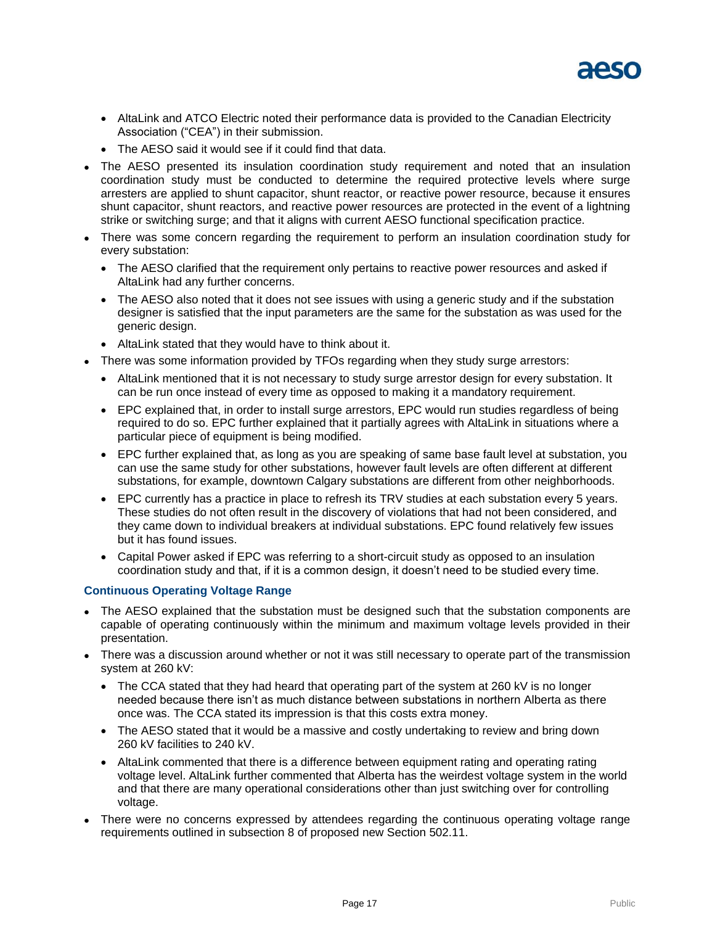

- AltaLink and ATCO Electric noted their performance data is provided to the Canadian Electricity Association ("CEA") in their submission.
- The AESO said it would see if it could find that data.
- The AESO presented its insulation coordination study requirement and noted that an insulation coordination study must be conducted to determine the required protective levels where surge arresters are applied to shunt capacitor, shunt reactor, or reactive power resource, because it ensures shunt capacitor, shunt reactors, and reactive power resources are protected in the event of a lightning strike or switching surge; and that it aligns with current AESO functional specification practice.
- There was some concern regarding the requirement to perform an insulation coordination study for every substation:
	- The AESO clarified that the requirement only pertains to reactive power resources and asked if AltaLink had any further concerns.
	- The AESO also noted that it does not see issues with using a generic study and if the substation designer is satisfied that the input parameters are the same for the substation as was used for the generic design.
	- AltaLink stated that they would have to think about it.
- There was some information provided by TFOs regarding when they study surge arrestors:
	- AltaLink mentioned that it is not necessary to study surge arrestor design for every substation. It can be run once instead of every time as opposed to making it a mandatory requirement.
	- EPC explained that, in order to install surge arrestors, EPC would run studies regardless of being required to do so. EPC further explained that it partially agrees with AltaLink in situations where a particular piece of equipment is being modified.
	- EPC further explained that, as long as you are speaking of same base fault level at substation, you can use the same study for other substations, however fault levels are often different at different substations, for example, downtown Calgary substations are different from other neighborhoods.
	- EPC currently has a practice in place to refresh its TRV studies at each substation every 5 years. These studies do not often result in the discovery of violations that had not been considered, and they came down to individual breakers at individual substations. EPC found relatively few issues but it has found issues.
	- Capital Power asked if EPC was referring to a short-circuit study as opposed to an insulation coordination study and that, if it is a common design, it doesn't need to be studied every time.

### **Continuous Operating Voltage Range**

- The AESO explained that the substation must be designed such that the substation components are capable of operating continuously within the minimum and maximum voltage levels provided in their presentation.
- There was a discussion around whether or not it was still necessary to operate part of the transmission system at 260 kV:
	- The CCA stated that they had heard that operating part of the system at 260 kV is no longer needed because there isn't as much distance between substations in northern Alberta as there once was. The CCA stated its impression is that this costs extra money.
	- The AESO stated that it would be a massive and costly undertaking to review and bring down 260 kV facilities to 240 kV.
	- AltaLink commented that there is a difference between equipment rating and operating rating voltage level. AltaLink further commented that Alberta has the weirdest voltage system in the world and that there are many operational considerations other than just switching over for controlling voltage.
- There were no concerns expressed by attendees regarding the continuous operating voltage range requirements outlined in subsection 8 of proposed new Section 502.11.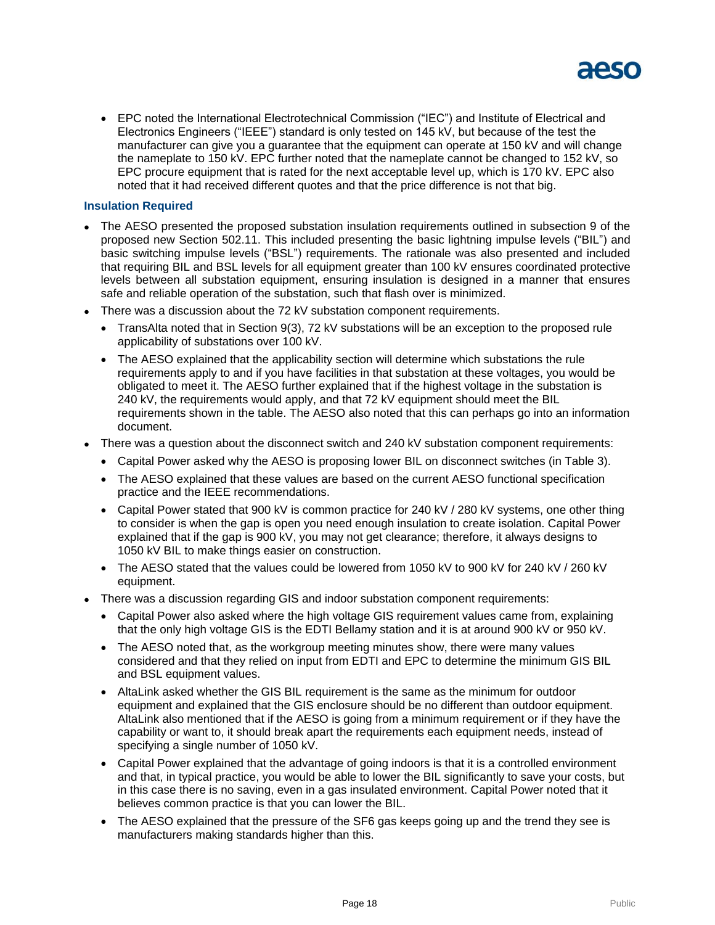

 EPC noted the International Electrotechnical Commission ("IEC") and Institute of Electrical and Electronics Engineers ("IEEE") standard is only tested on 145 kV, but because of the test the manufacturer can give you a guarantee that the equipment can operate at 150 kV and will change the nameplate to 150 kV. EPC further noted that the nameplate cannot be changed to 152 kV, so EPC procure equipment that is rated for the next acceptable level up, which is 170 kV. EPC also noted that it had received different quotes and that the price difference is not that big.

#### **Insulation Required**

- The AESO presented the proposed substation insulation requirements outlined in subsection 9 of the proposed new Section 502.11. This included presenting the basic lightning impulse levels ("BIL") and basic switching impulse levels ("BSL") requirements. The rationale was also presented and included that requiring BIL and BSL levels for all equipment greater than 100 kV ensures coordinated protective levels between all substation equipment, ensuring insulation is designed in a manner that ensures safe and reliable operation of the substation, such that flash over is minimized.
- There was a discussion about the 72 kV substation component requirements.
	- TransAlta noted that in Section 9(3), 72 kV substations will be an exception to the proposed rule applicability of substations over 100 kV.
	- The AESO explained that the applicability section will determine which substations the rule requirements apply to and if you have facilities in that substation at these voltages, you would be obligated to meet it. The AESO further explained that if the highest voltage in the substation is 240 kV, the requirements would apply, and that 72 kV equipment should meet the BIL requirements shown in the table. The AESO also noted that this can perhaps go into an information document.
- There was a question about the disconnect switch and 240 kV substation component requirements:
	- Capital Power asked why the AESO is proposing lower BIL on disconnect switches (in Table 3).
	- The AESO explained that these values are based on the current AESO functional specification practice and the IEEE recommendations.
	- Capital Power stated that 900 kV is common practice for 240 kV / 280 kV systems, one other thing to consider is when the gap is open you need enough insulation to create isolation. Capital Power explained that if the gap is 900 kV, you may not get clearance; therefore, it always designs to 1050 kV BIL to make things easier on construction.
	- The AESO stated that the values could be lowered from 1050 kV to 900 kV for 240 kV / 260 kV equipment.
- There was a discussion regarding GIS and indoor substation component requirements:
	- Capital Power also asked where the high voltage GIS requirement values came from, explaining that the only high voltage GIS is the EDTI Bellamy station and it is at around 900 kV or 950 kV.
	- The AESO noted that, as the workgroup meeting minutes show, there were many values considered and that they relied on input from EDTI and EPC to determine the minimum GIS BIL and BSL equipment values.
	- AltaLink asked whether the GIS BIL requirement is the same as the minimum for outdoor equipment and explained that the GIS enclosure should be no different than outdoor equipment. AltaLink also mentioned that if the AESO is going from a minimum requirement or if they have the capability or want to, it should break apart the requirements each equipment needs, instead of specifying a single number of 1050 kV.
	- Capital Power explained that the advantage of going indoors is that it is a controlled environment and that, in typical practice, you would be able to lower the BIL significantly to save your costs, but in this case there is no saving, even in a gas insulated environment. Capital Power noted that it believes common practice is that you can lower the BIL.
	- The AESO explained that the pressure of the SF6 gas keeps going up and the trend they see is manufacturers making standards higher than this.